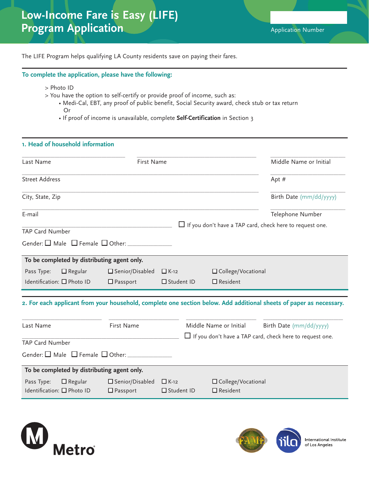The LIFE Program helps qualifying LA County residents save on paying their fares.

## **To complete the application, please have the following:**

- > Photo ID
- > You have the option to self-certify or provide proof of income, such as:
	- Medi-Cal, EBT, any proof of public benefit, Social Security award, check stub or tax return Or
	- If proof of income is unavailable, complete **Self-Certification** in Section 3

## **1. Head of household information**

| Last Name                                                  | First Name                                   |                                  |                                         | Middle Name or Initial                                                                                              |
|------------------------------------------------------------|----------------------------------------------|----------------------------------|-----------------------------------------|---------------------------------------------------------------------------------------------------------------------|
| <b>Street Address</b>                                      |                                              |                                  |                                         | Apt $#$                                                                                                             |
| City, State, Zip                                           |                                              |                                  |                                         | Birth Date (mm/dd/yyyy)                                                                                             |
| E-mail                                                     |                                              |                                  |                                         | Telephone Number                                                                                                    |
| <b>TAP Card Number</b>                                     |                                              |                                  |                                         | $\Box$ If you don't have a TAP card, check here to request one.                                                     |
|                                                            |                                              |                                  |                                         |                                                                                                                     |
| To be completed by distributing agent only.                |                                              |                                  |                                         |                                                                                                                     |
| $\Box$ Regular<br>Pass Type:                               | $\square$ Senior/Disabled                    | $\Box K-12$                      | □ College/Vocational                    |                                                                                                                     |
| Identification: □ Photo ID                                 | $\Box$ Passport                              | $\Box$ Student ID                | $\Box$ Resident                         |                                                                                                                     |
|                                                            |                                              |                                  |                                         | 2. For each applicant from your household, complete one section below. Add additional sheets of paper as necessary. |
| Last Name                                                  | First Name                                   |                                  | Middle Name or Initial                  | Birth Date (mm/dd/yyyy)                                                                                             |
| TAP Card Number                                            |                                              |                                  |                                         | $\Box$ If you don't have a TAP card, check here to request one.                                                     |
|                                                            |                                              |                                  |                                         |                                                                                                                     |
| To be completed by distributing agent only.                |                                              |                                  |                                         |                                                                                                                     |
| $\Box$ Regular<br>Pass Type:<br>Identification: □ Photo ID | $\square$ Senior/Disabled<br>$\Box$ Passport | $\Box$ K-12<br>$\Box$ Student ID | □ College/Vocational<br>$\Box$ Resident |                                                                                                                     |